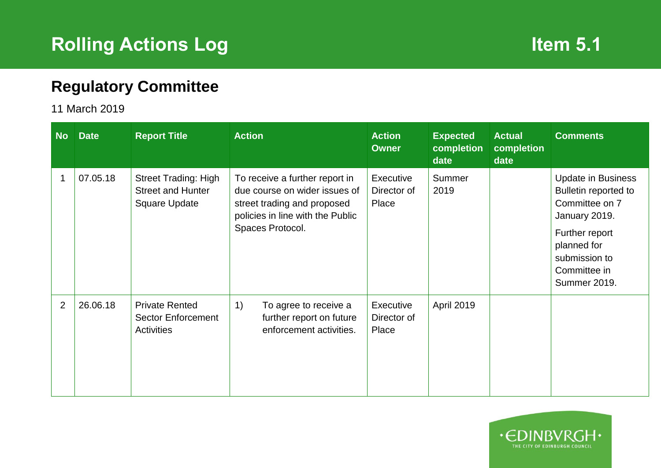## **Regulatory Committee**

## 11 March 2019

| <b>No</b>      | <b>Date</b> | <b>Report Title</b>                                                      | <b>Action</b>                                                                                                                                          | <b>Action</b><br><b>Owner</b>     | <b>Expected</b><br>completion<br>date | <b>Actual</b><br>completion<br>date | <b>Comments</b>                                                                                                                                                               |
|----------------|-------------|--------------------------------------------------------------------------|--------------------------------------------------------------------------------------------------------------------------------------------------------|-----------------------------------|---------------------------------------|-------------------------------------|-------------------------------------------------------------------------------------------------------------------------------------------------------------------------------|
|                | 07.05.18    | <b>Street Trading: High</b><br><b>Street and Hunter</b><br>Square Update | To receive a further report in<br>due course on wider issues of<br>street trading and proposed<br>policies in line with the Public<br>Spaces Protocol. | Executive<br>Director of<br>Place | Summer<br>2019                        |                                     | <b>Update in Business</b><br>Bulletin reported to<br>Committee on 7<br>January 2019.<br>Further report<br>planned for<br>submission to<br>Committee in<br><b>Summer 2019.</b> |
| $\overline{2}$ | 26.06.18    | <b>Private Rented</b><br><b>Sector Enforcement</b><br><b>Activities</b>  | $\left( \begin{array}{c} 1 \end{array} \right)$<br>To agree to receive a<br>further report on future<br>enforcement activities.                        | Executive<br>Director of<br>Place | April 2019                            |                                     |                                                                                                                                                                               |

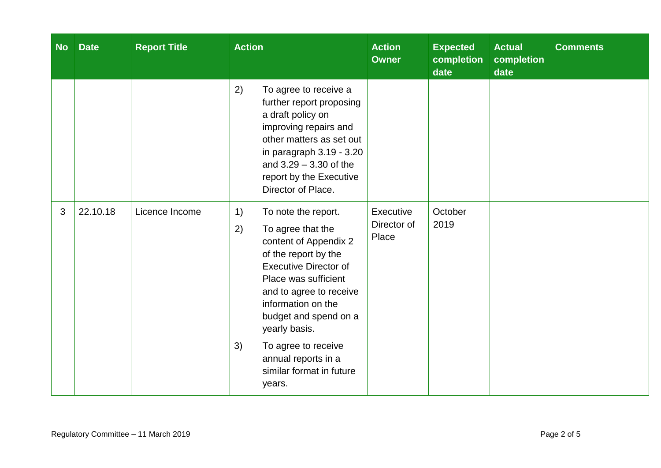| N <sub>o</sub> | <b>Date</b> | <b>Report Title</b> | <b>Action</b>                                                                                                                                                                                                                                                                                                                                      | <b>Action</b><br><b>Owner</b>     | <b>Expected</b><br>completion<br>date | <b>Actual</b><br>completion<br>date | <b>Comments</b> |
|----------------|-------------|---------------------|----------------------------------------------------------------------------------------------------------------------------------------------------------------------------------------------------------------------------------------------------------------------------------------------------------------------------------------------------|-----------------------------------|---------------------------------------|-------------------------------------|-----------------|
|                |             |                     | 2)<br>To agree to receive a<br>further report proposing<br>a draft policy on<br>improving repairs and<br>other matters as set out<br>in paragraph 3.19 - 3.20<br>and $3.29 - 3.30$ of the<br>report by the Executive<br>Director of Place.                                                                                                         |                                   |                                       |                                     |                 |
| 3              | 22.10.18    | Licence Income      | 1)<br>To note the report.<br>2)<br>To agree that the<br>content of Appendix 2<br>of the report by the<br><b>Executive Director of</b><br>Place was sufficient<br>and to agree to receive<br>information on the<br>budget and spend on a<br>yearly basis.<br>3)<br>To agree to receive<br>annual reports in a<br>similar format in future<br>years. | Executive<br>Director of<br>Place | October<br>2019                       |                                     |                 |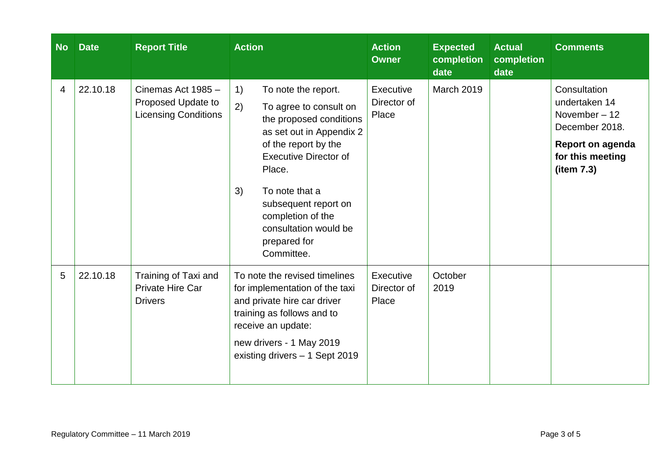| <b>No</b> | <b>Date</b> | <b>Report Title</b>                                                     | <b>Action</b>                                                                                                                                                                                                                                                                                                  | <b>Action</b><br><b>Owner</b>     | <b>Expected</b><br>completion<br>date | <b>Actual</b><br>completion<br>date | <b>Comments</b>                                                                                                             |
|-----------|-------------|-------------------------------------------------------------------------|----------------------------------------------------------------------------------------------------------------------------------------------------------------------------------------------------------------------------------------------------------------------------------------------------------------|-----------------------------------|---------------------------------------|-------------------------------------|-----------------------------------------------------------------------------------------------------------------------------|
| 4         | 22.10.18    | Cinemas Act 1985 -<br>Proposed Update to<br><b>Licensing Conditions</b> | To note the report.<br>1)<br>2)<br>To agree to consult on<br>the proposed conditions<br>as set out in Appendix 2<br>of the report by the<br><b>Executive Director of</b><br>Place.<br>3)<br>To note that a<br>subsequent report on<br>completion of the<br>consultation would be<br>prepared for<br>Committee. | Executive<br>Director of<br>Place | March 2019                            |                                     | Consultation<br>undertaken 14<br>November-12<br>December 2018.<br><b>Report on agenda</b><br>for this meeting<br>(item 7.3) |
| 5         | 22.10.18    | Training of Taxi and<br>Private Hire Car<br><b>Drivers</b>              | To note the revised timelines<br>for implementation of the taxi<br>and private hire car driver<br>training as follows and to<br>receive an update:<br>new drivers - 1 May 2019<br>existing drivers - 1 Sept 2019                                                                                               | Executive<br>Director of<br>Place | October<br>2019                       |                                     |                                                                                                                             |